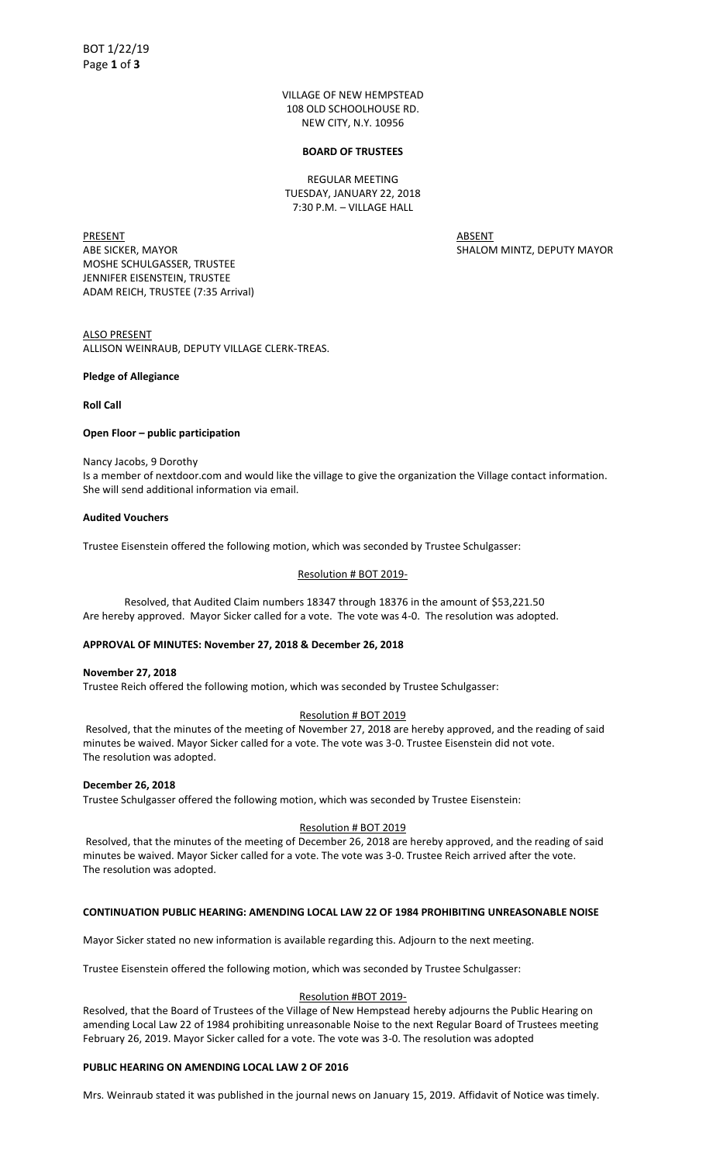VILLAGE OF NEW HEMPSTEAD 108 OLD SCHOOLHOUSE RD. NEW CITY, N.Y. 10956

#### **BOARD OF TRUSTEES**

REGULAR MEETING TUESDAY, JANUARY 22, 2018 7:30 P.M. – VILLAGE HALL

experiment to the set of the set of the set of the set of the set of the set of the set of the set of the set of the set of the set of the set of the set of the set of the set of the set of the set of the set of the set of ABE SICKER, MAYOR SHALOM MINTZ, DEPUTY MAYOR MOSHE SCHULGASSER, TRUSTEE JENNIFER EISENSTEIN, TRUSTEE ADAM REICH, TRUSTEE (7:35 Arrival)

ALSO PRESENT ALLISON WEINRAUB, DEPUTY VILLAGE CLERK-TREAS.

## **Pledge of Allegiance**

## **Roll Call**

## **Open Floor – public participation**

#### Nancy Jacobs, 9 Dorothy

Is a member of nextdoor.com and would like the village to give the organization the Village contact information. She will send additional information via email.

#### **Audited Vouchers**

Trustee Eisenstein offered the following motion, which was seconded by Trustee Schulgasser:

## Resolution # BOT 2019-

Resolved, that Audited Claim numbers 18347 through 18376 in the amount of \$53,221.50 Are hereby approved. Mayor Sicker called for a vote. The vote was 4-0. The resolution was adopted.

## **APPROVAL OF MINUTES: November 27, 2018 & December 26, 2018**

## **November 27, 2018**

Trustee Reich offered the following motion, which was seconded by Trustee Schulgasser:

## Resolution # BOT 2019

Resolved, that the minutes of the meeting of November 27, 2018 are hereby approved, and the reading of said minutes be waived. Mayor Sicker called for a vote. The vote was 3-0. Trustee Eisenstein did not vote. The resolution was adopted.

## **December 26, 2018**

Trustee Schulgasser offered the following motion, which was seconded by Trustee Eisenstein:

## Resolution # BOT 2019

Resolved, that the minutes of the meeting of December 26, 2018 are hereby approved, and the reading of said minutes be waived. Mayor Sicker called for a vote. The vote was 3-0. Trustee Reich arrived after the vote. The resolution was adopted.

## **CONTINUATION PUBLIC HEARING: AMENDING LOCAL LAW 22 OF 1984 PROHIBITING UNREASONABLE NOISE**

Mayor Sicker stated no new information is available regarding this. Adjourn to the next meeting.

Trustee Eisenstein offered the following motion, which was seconded by Trustee Schulgasser:

## Resolution #BOT 2019-

Resolved, that the Board of Trustees of the Village of New Hempstead hereby adjourns the Public Hearing on amending Local Law 22 of 1984 prohibiting unreasonable Noise to the next Regular Board of Trustees meeting February 26, 2019. Mayor Sicker called for a vote. The vote was 3-0. The resolution was adopted

# **PUBLIC HEARING ON AMENDING LOCAL LAW 2 OF 2016**

Mrs. Weinraub stated it was published in the journal news on January 15, 2019. Affidavit of Notice was timely.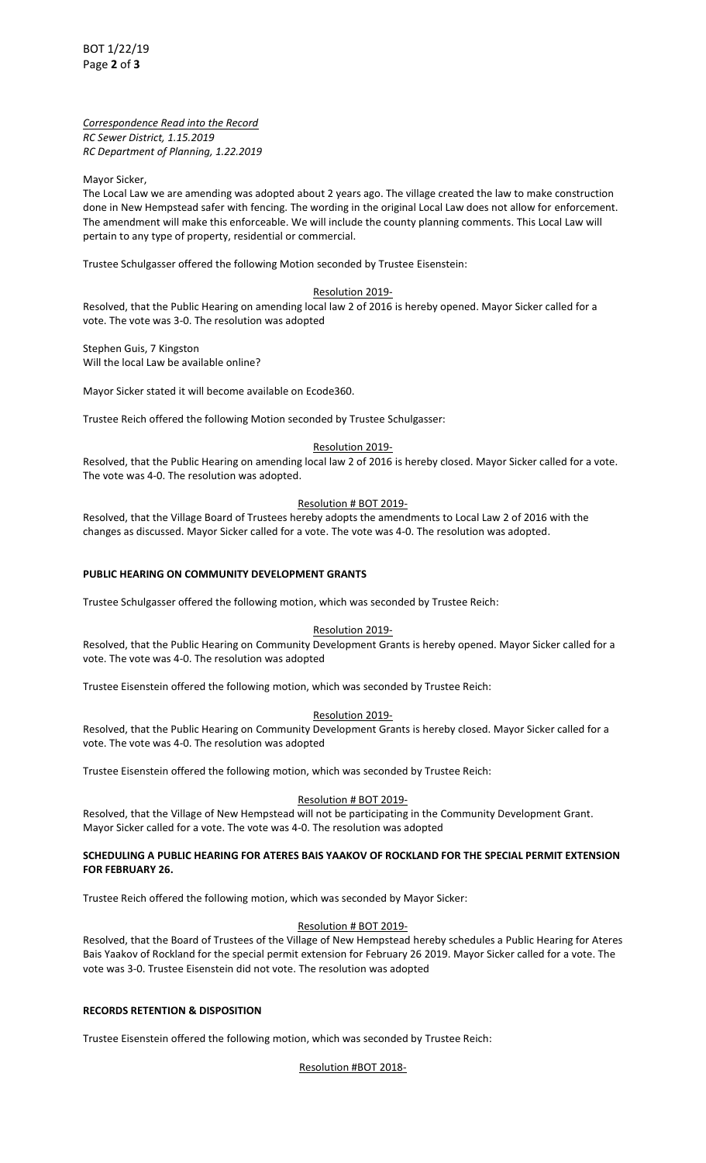BOT 1/22/19 Page **2** of **3**

*Correspondence Read into the Record RC Sewer District, 1.15.2019 RC Department of Planning, 1.22.2019*

Mayor Sicker,

The Local Law we are amending was adopted about 2 years ago. The village created the law to make construction done in New Hempstead safer with fencing. The wording in the original Local Law does not allow for enforcement. The amendment will make this enforceable. We will include the county planning comments. This Local Law will pertain to any type of property, residential or commercial.

Trustee Schulgasser offered the following Motion seconded by Trustee Eisenstein:

#### Resolution 2019-

Resolved, that the Public Hearing on amending local law 2 of 2016 is hereby opened. Mayor Sicker called for a vote. The vote was 3-0. The resolution was adopted

Stephen Guis, 7 Kingston Will the local Law be available online?

Mayor Sicker stated it will become available on Ecode360.

Trustee Reich offered the following Motion seconded by Trustee Schulgasser:

#### Resolution 2019-

Resolved, that the Public Hearing on amending local law 2 of 2016 is hereby closed. Mayor Sicker called for a vote. The vote was 4-0. The resolution was adopted.

#### Resolution # BOT 2019-

Resolved, that the Village Board of Trustees hereby adopts the amendments to Local Law 2 of 2016 with the changes as discussed. Mayor Sicker called for a vote. The vote was 4-0. The resolution was adopted.

## **PUBLIC HEARING ON COMMUNITY DEVELOPMENT GRANTS**

Trustee Schulgasser offered the following motion, which was seconded by Trustee Reich:

#### Resolution 2019-

Resolved, that the Public Hearing on Community Development Grants is hereby opened. Mayor Sicker called for a vote. The vote was 4-0. The resolution was adopted

Trustee Eisenstein offered the following motion, which was seconded by Trustee Reich:

## Resolution 2019-

Resolved, that the Public Hearing on Community Development Grants is hereby closed. Mayor Sicker called for a vote. The vote was 4-0. The resolution was adopted

Trustee Eisenstein offered the following motion, which was seconded by Trustee Reich:

#### Resolution # BOT 2019-

Resolved, that the Village of New Hempstead will not be participating in the Community Development Grant. Mayor Sicker called for a vote. The vote was 4-0. The resolution was adopted

#### **SCHEDULING A PUBLIC HEARING FOR ATERES BAIS YAAKOV OF ROCKLAND FOR THE SPECIAL PERMIT EXTENSION FOR FEBRUARY 26.**

Trustee Reich offered the following motion, which was seconded by Mayor Sicker:

#### Resolution # BOT 2019-

Resolved, that the Board of Trustees of the Village of New Hempstead hereby schedules a Public Hearing for Ateres Bais Yaakov of Rockland for the special permit extension for February 26 2019. Mayor Sicker called for a vote. The vote was 3-0. Trustee Eisenstein did not vote. The resolution was adopted

## **RECORDS RETENTION & DISPOSITION**

Trustee Eisenstein offered the following motion, which was seconded by Trustee Reich:

# Resolution #BOT 2018-